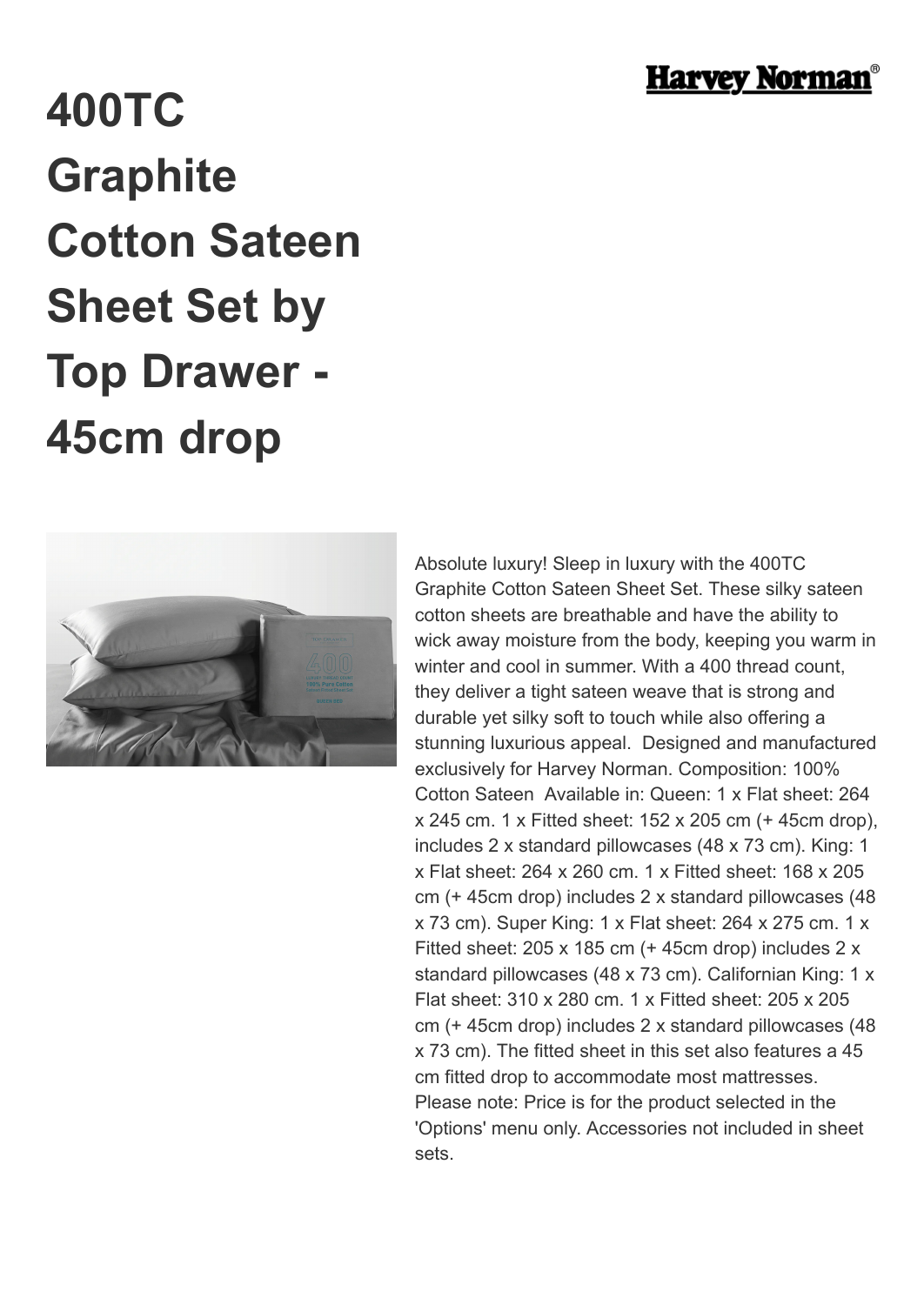

## **400TC Graphite Cotton Sateen Sheet Set by Top Drawer - 45cm drop**



Absolute luxury! Sleep in luxury with the 400TC Graphite Cotton Sateen Sheet Set. These silky sateen cotton sheets are breathable and have the ability to wick away moisture from the body, keeping you warm in winter and cool in summer. With a 400 thread count. they deliver a tight sateen weave that is strong and durable yet silky soft to touch while also offering a stunning luxurious appeal. Designed and manufactured exclusively for Harvey Norman. Composition: 100% Cotton Sateen Available in: Queen: 1 x Flat sheet: 264 x 245 cm. 1 x Fitted sheet: 152 x 205 cm (+ 45cm drop), includes 2 x standard pillowcases (48 x 73 cm). King: 1 x Flat sheet: 264 x 260 cm. 1 x Fitted sheet: 168 x 205 cm (+ 45cm drop) includes 2 x standard pillowcases (48 x 73 cm). Super King: 1 x Flat sheet: 264 x 275 cm. 1 x Fitted sheet: 205 x 185 cm (+ 45cm drop) includes 2 x standard pillowcases (48 x 73 cm). Californian King: 1 x Flat sheet: 310 x 280 cm. 1 x Fitted sheet: 205 x 205 cm (+ 45cm drop) includes 2 x standard pillowcases (48 x 73 cm). The fitted sheet in this set also features a 45 cm fitted drop to accommodate most mattresses. Please note: Price is for the product selected in the 'Options' menu only. Accessories not included in sheet sets.